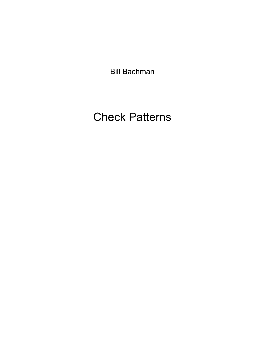Bill Bachman

## Check Patterns